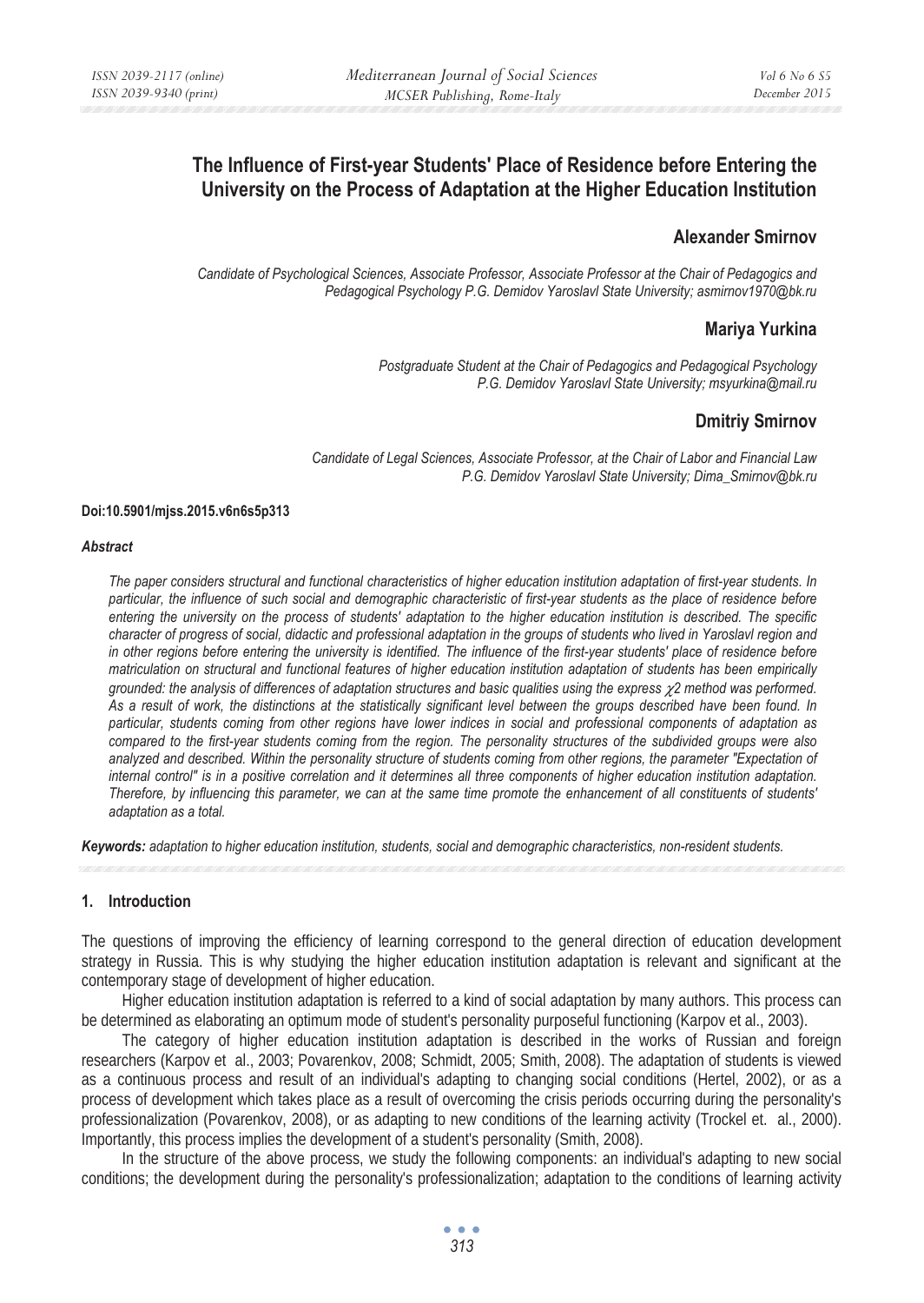# **The Influence of First-year Students' Place of Residence before Entering the University on the Process of Adaptation at the Higher Education Institution**

# **Alexander Smirnov**

*Candidate of Psychological Sciences, Associate Professor, Associate Professor at the Chair of Pedagogics and Pedagogical Psychology P.G. Demidov Yaroslavl State University; asmirnov1970@bk.ru* 

## **Mariya Yurkina**

*Postgraduate Student at the Chair of Pedagogics and Pedagogical Psychology P.G. Demidov Yaroslavl State University; msyurkina@mail.ru* 

# **Dmitriy Smirnov**

*Candidate of Legal Sciences, Associate Professor, at the Chair of Labor and Financial Law P.G. Demidov Yaroslavl State University; Dima\_Smirnov@bk.ru* 

#### **Doi:10.5901/mjss.2015.v6n6s5p313**

#### *Abstract*

*The paper considers structural and functional characteristics of higher education institution adaptation of first-year students. In particular, the influence of such social and demographic characteristic of first-year students as the place of residence before* entering the university on the process of students' adaptation to the higher education institution is described. The specific *character of progress of social, didactic and professional adaptation in the groups of students who lived in Yaroslavl region and in other regions before entering the university is identified. The influence of the first-year students' place of residence before matriculation on structural and functional features of higher education institution adaptation of students has been empirically grounded: the analysis of differences of adaptation structures and basic qualities using the express* χ*2 method was performed. As a result of work, the distinctions at the statistically significant level between the groups described have been found. In particular, students coming from other regions have lower indices in social and professional components of adaptation as compared to the first-year students coming from the region. The personality structures of the subdivided groups were also analyzed and described. Within the personality structure of students coming from other regions, the parameter "Expectation of internal control" is in a positive correlation and it determines all three components of higher education institution adaptation. Therefore, by influencing this parameter, we can at the same time promote the enhancement of all constituents of students' adaptation as a total.* 

*Keywords: adaptation to higher education institution, students, social and demographic characteristics, non-resident students.* 

### **1. Introduction**

The questions of improving the efficiency of learning correspond to the general direction of education development strategy in Russia. This is why studying the higher education institution adaptation is relevant and significant at the contemporary stage of development of higher education.

Higher education institution adaptation is referred to a kind of social adaptation by many authors. This process can be determined as elaborating an optimum mode of student's personality purposeful functioning (Karpov et al., 2003).

The category of higher education institution adaptation is described in the works of Russian and foreign researchers (Karpov et al., 2003; Povarenkov, 2008; Schmidt, 2005; Smith, 2008). The adaptation of students is viewed as a continuous process and result of an individual's adapting to changing social conditions (Hertel, 2002), or as a process of development which takes place as a result of overcoming the crisis periods occurring during the personality's professionalization (Povarenkov, 2008), or as adapting to new conditions of the learning activity (Trockel et. al., 2000). Importantly, this process implies the development of a student's personality (Smith, 2008).

In the structure of the above process, we study the following components: an individual's adapting to new social conditions; the development during the personality's professionalization; adaptation to the conditions of learning activity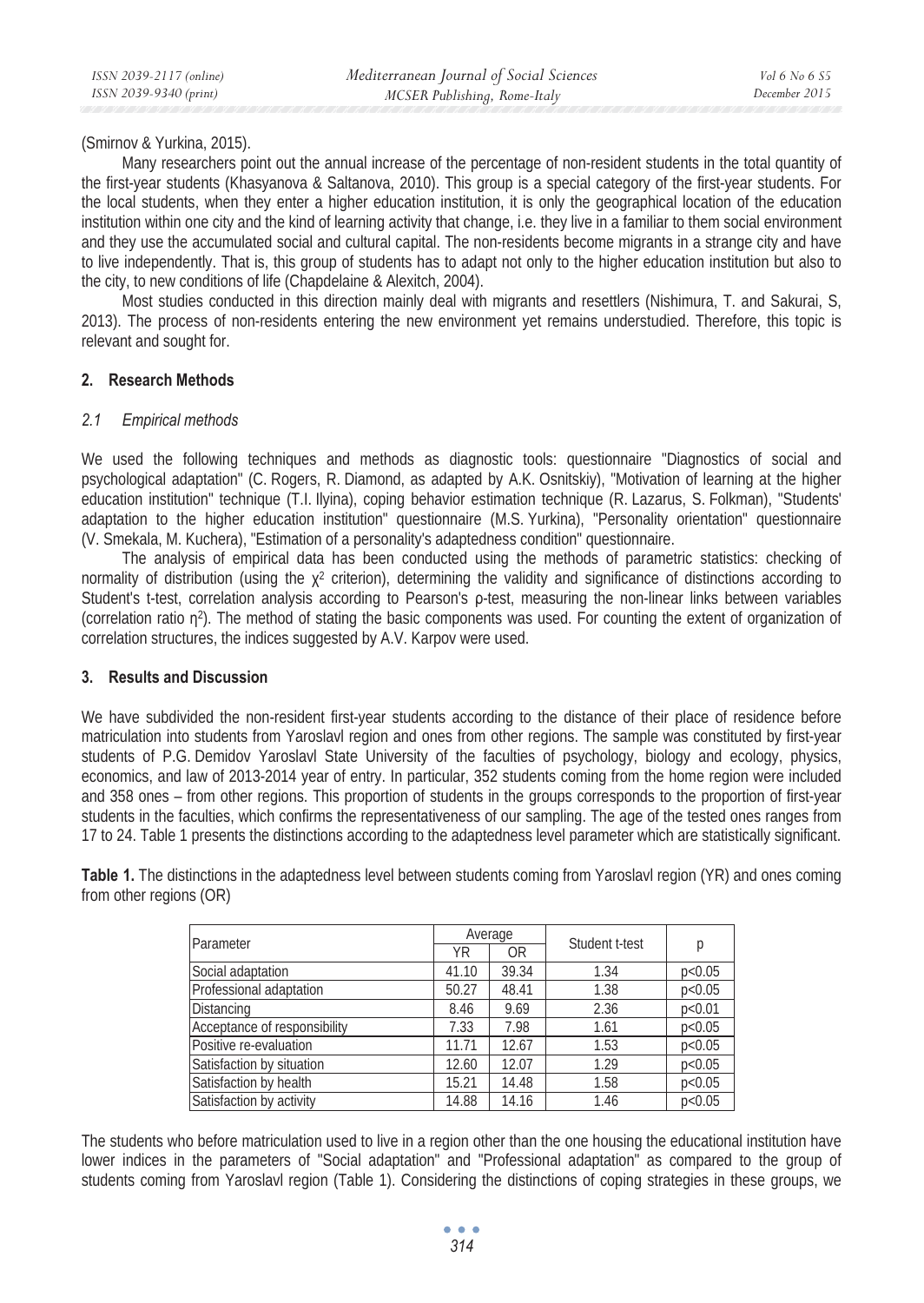### (Smirnov & Yurkina, 2015).

Many researchers point out the annual increase of the percentage of non-resident students in the total quantity of the first-year students (Khasyanova & Saltanova, 2010). This group is a special category of the first-year students. For the local students, when they enter a higher education institution, it is only the geographical location of the education institution within one city and the kind of learning activity that change, i.e. they live in a familiar to them social environment and they use the accumulated social and cultural capital. The non-residents become migrants in a strange city and have to live independently. That is, this group of students has to adapt not only to the higher education institution but also to the city, to new conditions of life (Chapdelaine & Alexitch, 2004).

Most studies conducted in this direction mainly deal with migrants and resettlers (Nishimura, T. and Sakurai, S, 2013). The process of non-residents entering the new environment yet remains understudied. Therefore, this topic is relevant and sought for.

### **2. Research Methods**

### *2.1 Empirical methods*

We used the following techniques and methods as diagnostic tools: questionnaire "Diagnostics of social and psychological adaptation" (C. Rogers, R. Diamond, as adapted by A.K. Osnitskiy), "Motivation of learning at the higher education institution" technique (T.I. Ilyina), coping behavior estimation technique (R. Lazarus, S. Folkman), "Students' adaptation to the higher education institution" questionnaire (M.S. Yurkina), "Personality orientation" questionnaire (V. Smekala, M. Kuchera), "Estimation of a personality's adaptedness condition" questionnaire.

The analysis of empirical data has been conducted using the methods of parametric statistics: checking of normality of distribution (using the  $\chi^2$  criterion), determining the validity and significance of distinctions according to Student's t-test, correlation analysis according to Pearson's  $\rho$ -test, measuring the non-linear links between variables (correlation ratio Ș2). The method of stating the basic components was used. For counting the extent of organization of correlation structures, the indices suggested by A.V. Karpov were used.

### **3. Results and Discussion**

We have subdivided the non-resident first-year students according to the distance of their place of residence before matriculation into students from Yaroslavl region and ones from other regions. The sample was constituted by first-year students of P.G. Demidov Yaroslavl State University of the faculties of psychology, biology and ecology, physics, economics, and law of 2013-2014 year of entry. In particular, 352 students coming from the home region were included and 358 ones – from other regions. This proportion of students in the groups corresponds to the proportion of first-year students in the faculties, which confirms the representativeness of our sampling. The age of the tested ones ranges from 17 to 24. Table 1 presents the distinctions according to the adaptedness level parameter which are statistically significant.

**Table 1.** The distinctions in the adaptedness level between students coming from Yaroslavl region (YR) and ones coming from other regions (OR)

| Parameter                    | Average   |           | Student t-test |          |
|------------------------------|-----------|-----------|----------------|----------|
|                              | <b>YR</b> | <b>OR</b> |                | р        |
| Social adaptation            | 41.10     | 39.34     | 1.34           | p<0.05   |
| Professional adaptation      | 50.27     | 48.41     | 1.38           | p < 0.05 |
| <b>Distancing</b>            | 8.46      | 9.69      | 2.36           | p < 0.01 |
| Acceptance of responsibility | 7.33      | 7.98      | 1.61           | p<0.05   |
| Positive re-evaluation       | 11.71     | 12.67     | 1.53           | p<0.05   |
| Satisfaction by situation    | 12.60     | 12.07     | 1.29           | p<0.05   |
| Satisfaction by health       | 15.21     | 14.48     | 1.58           | p<0.05   |
| Satisfaction by activity     | 14.88     | 14.16     | 1.46           | p<0.05   |

The students who before matriculation used to live in a region other than the one housing the educational institution have lower indices in the parameters of "Social adaptation" and "Professional adaptation" as compared to the group of students coming from Yaroslavl region (Table 1). Considering the distinctions of coping strategies in these groups, we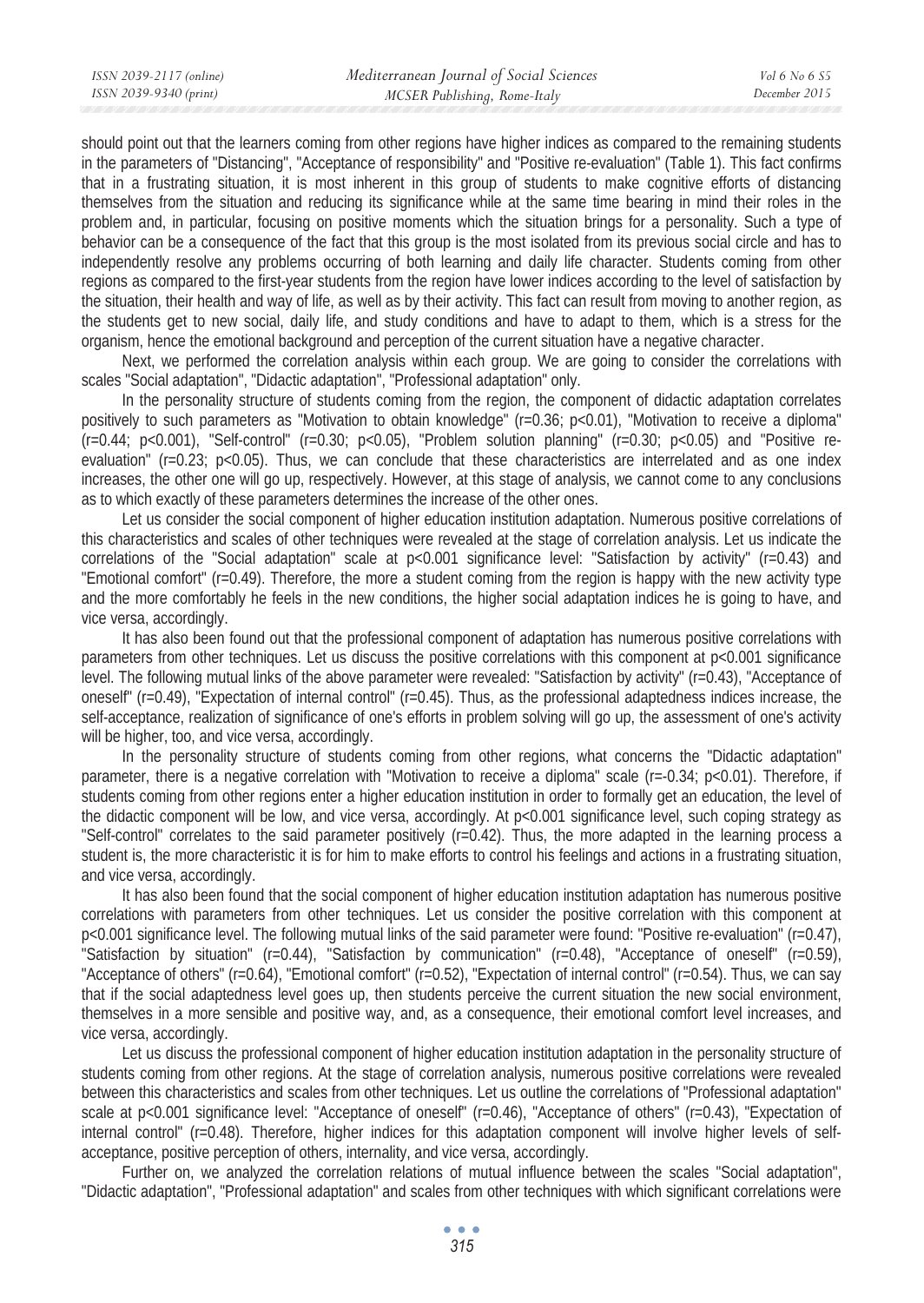should point out that the learners coming from other regions have higher indices as compared to the remaining students in the parameters of "Distancing", "Acceptance of responsibility" and "Positive re-evaluation" (Table 1). This fact confirms that in a frustrating situation, it is most inherent in this group of students to make cognitive efforts of distancing themselves from the situation and reducing its significance while at the same time bearing in mind their roles in the problem and, in particular, focusing on positive moments which the situation brings for a personality. Such a type of behavior can be a consequence of the fact that this group is the most isolated from its previous social circle and has to independently resolve any problems occurring of both learning and daily life character. Students coming from other regions as compared to the first-year students from the region have lower indices according to the level of satisfaction by the situation, their health and way of life, as well as by their activity. This fact can result from moving to another region, as the students get to new social, daily life, and study conditions and have to adapt to them, which is a stress for the organism, hence the emotional background and perception of the current situation have a negative character.

Next, we performed the correlation analysis within each group. We are going to consider the correlations with scales "Social adaptation", "Didactic adaptation", "Professional adaptation" only.

In the personality structure of students coming from the region, the component of didactic adaptation correlates positively to such parameters as "Motivation to obtain knowledge" (r=0.36; p<0.01), "Motivation to receive a diploma"  $(r=0.44; p<0.001)$ , "Self-control" (r=0.30; p<0.05), "Problem solution planning" (r=0.30; p<0.05) and "Positive reevaluation" ( $r=0.23$ ;  $p<0.05$ ). Thus, we can conclude that these characteristics are interrelated and as one index increases, the other one will go up, respectively. However, at this stage of analysis, we cannot come to any conclusions as to which exactly of these parameters determines the increase of the other ones.

Let us consider the social component of higher education institution adaptation. Numerous positive correlations of this characteristics and scales of other techniques were revealed at the stage of correlation analysis. Let us indicate the correlations of the "Social adaptation" scale at  $p<0.001$  significance level: "Satisfaction by activity" ( $r=0.43$ ) and "Emotional comfort" (r=0.49). Therefore, the more a student coming from the region is happy with the new activity type and the more comfortably he feels in the new conditions, the higher social adaptation indices he is going to have, and vice versa, accordingly.

It has also been found out that the professional component of adaptation has numerous positive correlations with parameters from other techniques. Let us discuss the positive correlations with this component at p<0.001 significance level. The following mutual links of the above parameter were revealed: "Satisfaction by activity" (r=0.43), "Acceptance of oneself" (r=0.49), "Expectation of internal control" (r=0.45). Thus, as the professional adaptedness indices increase, the self-acceptance, realization of significance of one's efforts in problem solving will go up, the assessment of one's activity will be higher, too, and vice versa, accordingly.

In the personality structure of students coming from other regions, what concerns the "Didactic adaptation" parameter, there is a negative correlation with "Motivation to receive a diploma" scale (r=-0.34; p<0.01). Therefore, if students coming from other regions enter a higher education institution in order to formally get an education, the level of the didactic component will be low, and vice versa, accordingly. At p<0.001 significance level, such coping strategy as "Self-control" correlates to the said parameter positively (r=0.42). Thus, the more adapted in the learning process a student is, the more characteristic it is for him to make efforts to control his feelings and actions in a frustrating situation, and vice versa, accordingly.

It has also been found that the social component of higher education institution adaptation has numerous positive correlations with parameters from other techniques. Let us consider the positive correlation with this component at p<0.001 significance level. The following mutual links of the said parameter were found: "Positive re-evaluation" (r=0.47), "Satisfaction by situation" (r=0.44), "Satisfaction by communication" (r=0.48), "Acceptance of oneself" (r=0.59), "Acceptance of others" (r=0.64), "Emotional comfort" (r=0.52), "Expectation of internal control" (r=0.54). Thus, we can say that if the social adaptedness level goes up, then students perceive the current situation the new social environment, themselves in a more sensible and positive way, and, as a consequence, their emotional comfort level increases, and vice versa, accordingly.

Let us discuss the professional component of higher education institution adaptation in the personality structure of students coming from other regions. At the stage of correlation analysis, numerous positive correlations were revealed between this characteristics and scales from other techniques. Let us outline the correlations of "Professional adaptation" scale at p<0.001 significance level: "Acceptance of oneself" (r=0.46), "Acceptance of others" (r=0.43), "Expectation of internal control" (r=0.48). Therefore, higher indices for this adaptation component will involve higher levels of selfacceptance, positive perception of others, internality, and vice versa, accordingly.

Further on, we analyzed the correlation relations of mutual influence between the scales "Social adaptation", "Didactic adaptation", "Professional adaptation" and scales from other techniques with which significant correlations were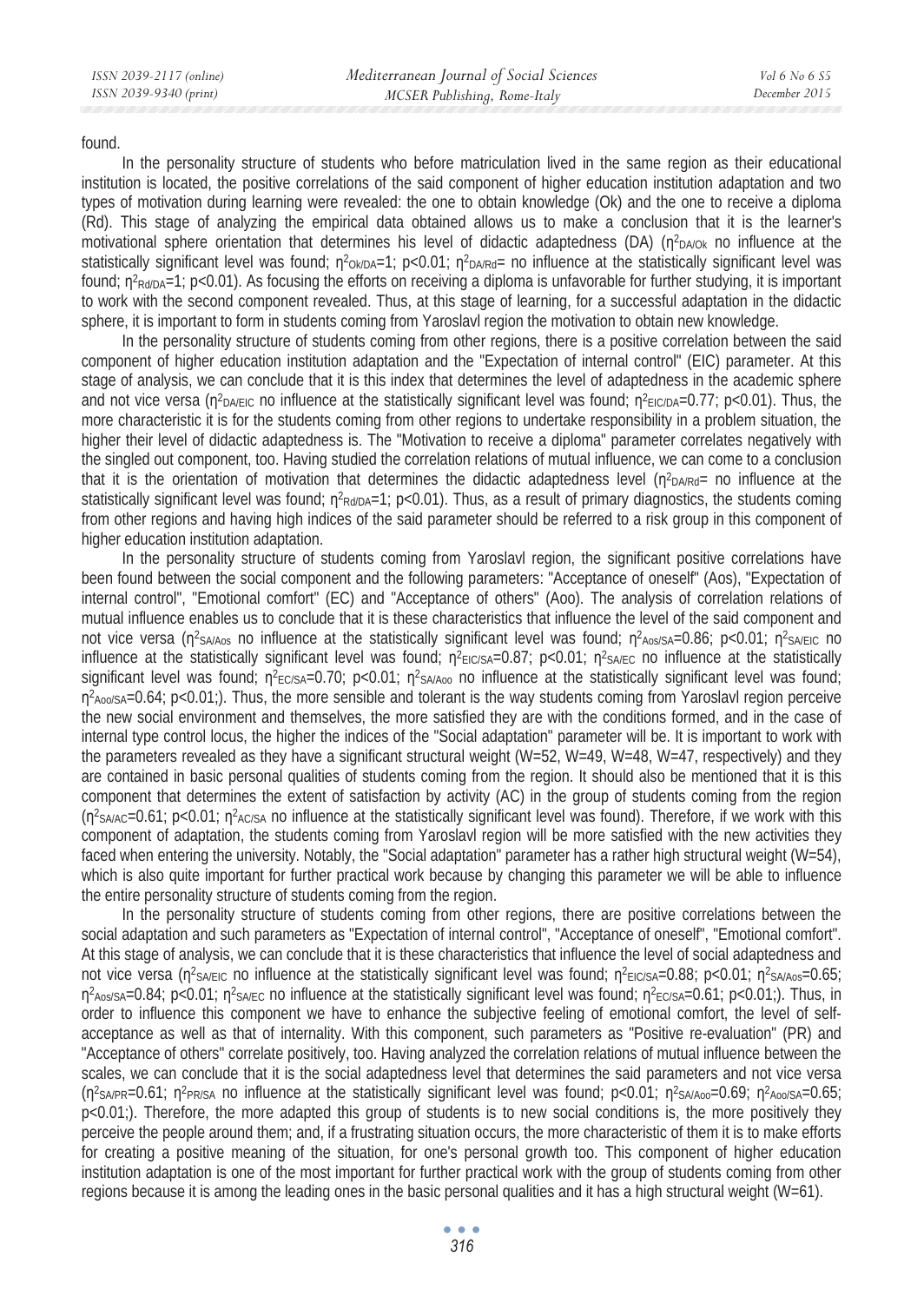#### found.

In the personality structure of students who before matriculation lived in the same region as their educational institution is located, the positive correlations of the said component of higher education institution adaptation and two types of motivation during learning were revealed: the one to obtain knowledge (Ok) and the one to receive a diploma (Rd). This stage of analyzing the empirical data obtained allows us to make a conclusion that it is the learner's motivational sphere orientation that determines his level of didactic adaptedness (DA) ( $\eta^2$ <sub>DA/Ok</sub> no influence at the statistically significant level was found;  $\eta^2_{\text{OWDA}}=1$ ;  $p<0.01$ ;  $\eta^2_{\text{OWRA}}=$  no influence at the statistically significant level was found;  $\eta^2$ <sub>Rd/DA</sub>=1; p<0.01). As focusing the efforts on receiving a diploma is unfavorable for further studying, it is important to work with the second component revealed. Thus, at this stage of learning, for a successful adaptation in the didactic sphere, it is important to form in students coming from Yaroslavl region the motivation to obtain new knowledge.

In the personality structure of students coming from other regions, there is a positive correlation between the said component of higher education institution adaptation and the "Expectation of internal control" (EIC) parameter. At this stage of analysis, we can conclude that it is this index that determines the level of adaptedness in the academic sphere and not vice versa ( $\eta^2$ <sub>DA/EIC</sub> no influence at the statistically significant level was found;  $\eta^2$ <sub>EIC/DA</sub>=0.77; p<0.01). Thus, the more characteristic it is for the students coming from other regions to undertake responsibility in a problem situation, the higher their level of didactic adaptedness is. The "Motivation to receive a diploma" parameter correlates negatively with the singled out component, too. Having studied the correlation relations of mutual influence, we can come to a conclusion that it is the orientation of motivation that determines the didactic adaptedness level  $(n^2_{DMRd} =$  no influence at the statistically significant level was found;  $\eta^2$ <sub>Rd/DA</sub>=1; p<0.01). Thus, as a result of primary diagnostics, the students coming from other regions and having high indices of the said parameter should be referred to a risk group in this component of higher education institution adaptation.

In the personality structure of students coming from Yaroslavl region, the significant positive correlations have been found between the social component and the following parameters: "Acceptance of oneself" (Aos), "Expectation of internal control", "Emotional comfort" (EC) and "Acceptance of others" (Aoo). The analysis of correlation relations of mutual influence enables us to conclude that it is these characteristics that influence the level of the said component and not vice versa ( $n^2s_{A/As}$  no influence at the statistically significant level was found;  $n^2As_{SAS} = 0.86$ ;  $p < 0.01$ ;  $n^2s_{A/EC}$  no influence at the statistically significant level was found;  $\eta^2_{EIC/SA}=0.87$ ; p<0.01;  $\eta^2_{SACE}$  no influence at the statistically significant level was found;  $\eta^2$ <sub>EC/SA</sub>=0.70; p<0.01;  $\eta^2$ <sub>SA/Aoo</sub> no influence at the statistically significant level was found;  $\eta^2$ Aoo/SA=0.64; p<0.01;). Thus, the more sensible and tolerant is the way students coming from Yaroslavl region perceive the new social environment and themselves, the more satisfied they are with the conditions formed, and in the case of internal type control locus, the higher the indices of the "Social adaptation" parameter will be. It is important to work with the parameters revealed as they have a significant structural weight (W=52, W=49, W=48, W=47, respectively) and they are contained in basic personal qualities of students coming from the region. It should also be mentioned that it is this component that determines the extent of satisfaction by activity (AC) in the group of students coming from the region  $(n^2$ <sub>SA/AC</sub>=0.61; p<0.01; n<sup>2</sup>AC/SA no influence at the statistically significant level was found). Therefore, if we work with this component of adaptation, the students coming from Yaroslavl region will be more satisfied with the new activities they faced when entering the university. Notably, the "Social adaptation" parameter has a rather high structural weight (W=54), which is also quite important for further practical work because by changing this parameter we will be able to influence the entire personality structure of students coming from the region.

In the personality structure of students coming from other regions, there are positive correlations between the social adaptation and such parameters as "Expectation of internal control", "Acceptance of oneself", "Emotional comfort". At this stage of analysis, we can conclude that it is these characteristics that influence the level of social adaptedness and not vice versa ( $n^2$ <sub>SA/EIC</sub> no influence at the statistically significant level was found;  $n^2$ <sub>EIC/SA</sub>=0.88; p<0.01;  $n^2$ <sub>SA/Aos</sub>=0.65;  $\eta^2$ <sub>oos/SA</sub>=0.84; p<0.01;  $\eta^2$ <sub>SA/EC</sub> no influence at the statistically significant level was found;  $\eta^2$ <sub>EC/SA</sub>=0.61; p<0.01;). Thus, in order to influence this component we have to enhance the subjective feeling of emotional comfort, the level of selfacceptance as well as that of internality. With this component, such parameters as "Positive re-evaluation" (PR) and "Acceptance of others" correlate positively, too. Having analyzed the correlation relations of mutual influence between the scales, we can conclude that it is the social adaptedness level that determines the said parameters and not vice versa  $(n^2$ SA/PR=0.61;  $n^2$ PR/SA no influence at the statistically significant level was found;  $p$ <0.01;  $n^2$ SA/Aoo=0.69;  $n^2$ Aoo/SA=0.65; p<0.01;). Therefore, the more adapted this group of students is to new social conditions is, the more positively they perceive the people around them; and, if a frustrating situation occurs, the more characteristic of them it is to make efforts for creating a positive meaning of the situation, for one's personal growth too. This component of higher education institution adaptation is one of the most important for further practical work with the group of students coming from other regions because it is among the leading ones in the basic personal qualities and it has a high structural weight (W=61).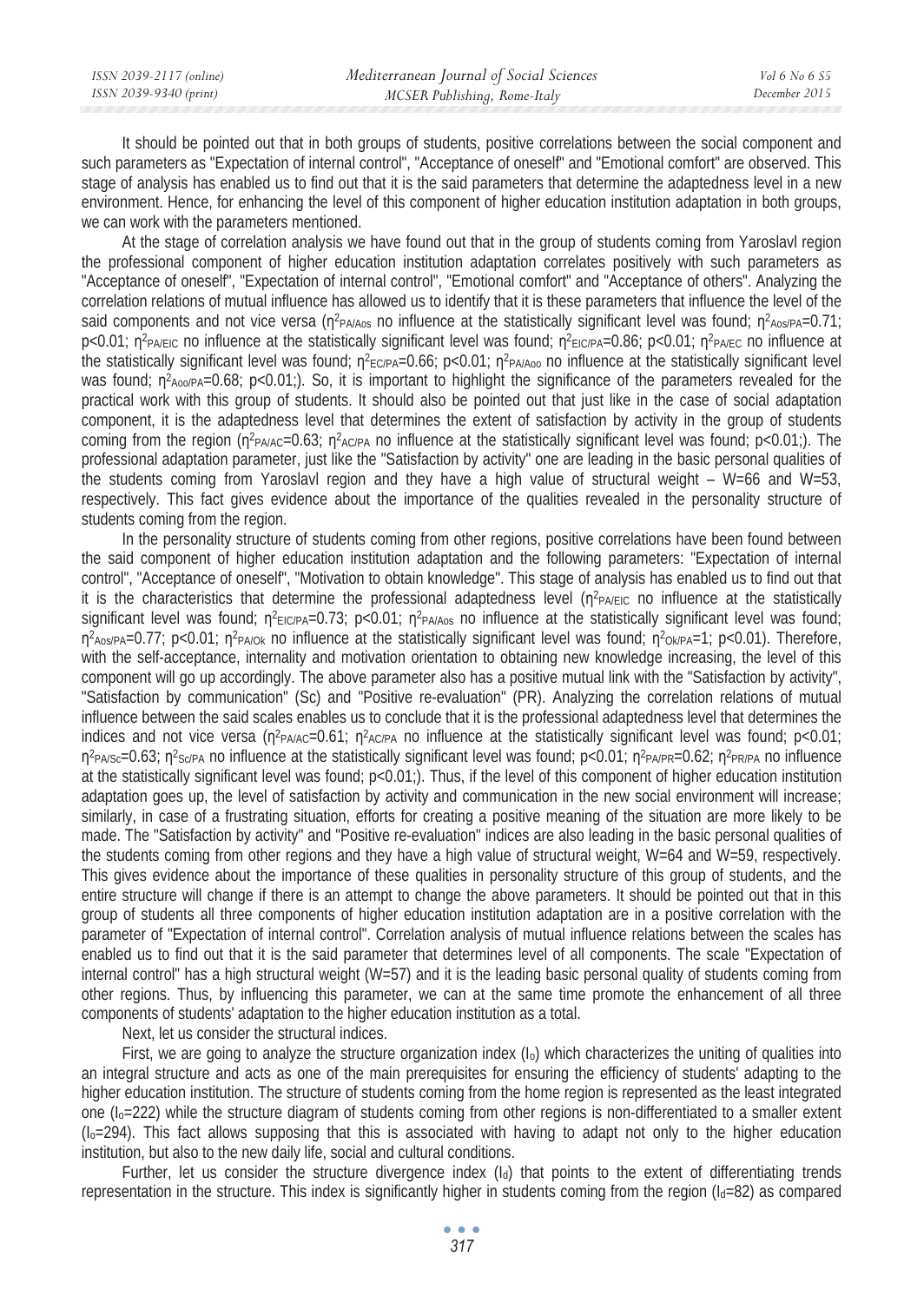| ISSN 2039-2117 (online) | Mediterranean Journal of Social Sciences | Vol 6 No 6 S5 |
|-------------------------|------------------------------------------|---------------|
| ISSN 2039-9340 (print)  | MCSER Publishing, Rome-Italy             | December 2015 |

It should be pointed out that in both groups of students, positive correlations between the social component and such parameters as "Expectation of internal control", "Acceptance of oneself" and "Emotional comfort" are observed. This stage of analysis has enabled us to find out that it is the said parameters that determine the adaptedness level in a new environment. Hence, for enhancing the level of this component of higher education institution adaptation in both groups, we can work with the parameters mentioned.

At the stage of correlation analysis we have found out that in the group of students coming from Yaroslavl region the professional component of higher education institution adaptation correlates positively with such parameters as "Acceptance of oneself", "Expectation of internal control", "Emotional comfort" and "Acceptance of others". Analyzing the correlation relations of mutual influence has allowed us to identify that it is these parameters that influence the level of the said components and not vice versa ( $\eta^2$ <sub>PAAos</sub> no influence at the statistically significant level was found;  $\eta^2$ <sub>Aos/PA</sub>=0.71; p<0.01;  $\eta^2$ PA/EIC no influence at the statistically significant level was found;  $\eta^2$ EIC/PA=0.86; p<0.01;  $\eta^2$ PA/EC no influence at the statistically significant level was found;  $\eta^2_{EC/PA}=0.66$ ;  $p<0.01$ ;  $\eta^2_{PA/A_{00}}$  no influence at the statistically significant level was found;  $\eta^2$ <sub>000</sub> $p_A$ =0.68;  $p$ <0.01;). So, it is important to highlight the significance of the parameters revealed for the practical work with this group of students. It should also be pointed out that just like in the case of social adaptation component, it is the adaptedness level that determines the extent of satisfaction by activity in the group of students coming from the region ( $\eta^2_{\text{PAAC}}=0.63$ ;  $\eta^2_{\text{AC},\text{PA}}$  no influence at the statistically significant level was found;  $p<0.01$ ;). The professional adaptation parameter, just like the "Satisfaction by activity" one are leading in the basic personal qualities of the students coming from Yaroslavl region and they have a high value of structural weight – W=66 and W=53, respectively. This fact gives evidence about the importance of the qualities revealed in the personality structure of students coming from the region.

In the personality structure of students coming from other regions, positive correlations have been found between the said component of higher education institution adaptation and the following parameters: "Expectation of internal control", "Acceptance of oneself", "Motivation to obtain knowledge". This stage of analysis has enabled us to find out that it is the characteristics that determine the professional adaptedness level  $(\eta^2_{PA/EC}$  no influence at the statistically significant level was found;  $\eta^2$ <sub>EIC/PA</sub>=0.73; p<0.01;  $\eta^2$ <sub>PA/Aos</sub> no influence at the statistically significant level was found;  $\eta^2$ <sub>oos/PA</sub>=0.77; p<0.01;  $\eta^2$ <sub>PA/Ok</sub> no influence at the statistically significant level was found;  $\eta^2$ <sub>Ok/PA</sub>=1; p<0.01). Therefore, with the self-acceptance, internality and motivation orientation to obtaining new knowledge increasing, the level of this component will go up accordingly. The above parameter also has a positive mutual link with the "Satisfaction by activity", "Satisfaction by communication" (Sc) and "Positive re-evaluation" (PR). Analyzing the correlation relations of mutual influence between the said scales enables us to conclude that it is the professional adaptedness level that determines the indices and not vice versa ( $\eta^2$ <sub>PA/AC</sub>=0.61;  $\eta^2$ <sub>AC/PA</sub> no influence at the statistically significant level was found; p<0.01;  $\eta^2$ <sub>PA/Sc</sub>=0.63;  $\eta^2$ <sub>Sc/PA</sub> no influence at the statistically significant level was found; p<0.01;  $\eta^2$ <sub>PA/PR</sub>=0.62;  $\eta^2$ <sub>PR/PA</sub> no influence at the statistically significant level was found; p<0.01;). Thus, if the level of this component of higher education institution adaptation goes up, the level of satisfaction by activity and communication in the new social environment will increase; similarly, in case of a frustrating situation, efforts for creating a positive meaning of the situation are more likely to be made. The "Satisfaction by activity" and "Positive re-evaluation" indices are also leading in the basic personal qualities of the students coming from other regions and they have a high value of structural weight, W=64 and W=59, respectively. This gives evidence about the importance of these qualities in personality structure of this group of students, and the entire structure will change if there is an attempt to change the above parameters. It should be pointed out that in this group of students all three components of higher education institution adaptation are in a positive correlation with the parameter of "Expectation of internal control". Correlation analysis of mutual influence relations between the scales has enabled us to find out that it is the said parameter that determines level of all components. The scale "Expectation of internal control" has a high structural weight (W=57) and it is the leading basic personal quality of students coming from other regions. Thus, by influencing this parameter, we can at the same time promote the enhancement of all three components of students' adaptation to the higher education institution as a total.

Next, let us consider the structural indices.

First, we are going to analyze the structure organization index (Io) which characterizes the uniting of qualities into an integral structure and acts as one of the main prerequisites for ensuring the efficiency of students' adapting to the higher education institution. The structure of students coming from the home region is represented as the least integrated one (Io=222) while the structure diagram of students coming from other regions is non-differentiated to a smaller extent  $(I_0=294)$ . This fact allows supposing that this is associated with having to adapt not only to the higher education institution, but also to the new daily life, social and cultural conditions.

Further, let us consider the structure divergence index  $(I_d)$  that points to the extent of differentiating trends representation in the structure. This index is significantly higher in students coming from the region  $(I<sub>d</sub>=82)$  as compared